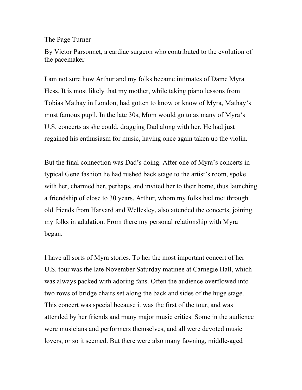The Page Turner

By Victor Parsonnet, a cardiac surgeon who contributed to the evolution of the pacemaker

I am not sure how Arthur and my folks became intimates of Dame Myra Hess. It is most likely that my mother, while taking piano lessons from Tobias Mathay in London, had gotten to know or know of Myra, Mathay's most famous pupil. In the late 30s, Mom would go to as many of Myra's U.S. concerts as she could, dragging Dad along with her. He had just regained his enthusiasm for music, having once again taken up the violin.

But the final connection was Dad's doing. After one of Myra's concerts in typical Gene fashion he had rushed back stage to the artist's room, spoke with her, charmed her, perhaps, and invited her to their home, thus launching a friendship of close to 30 years. Arthur, whom my folks had met through old friends from Harvard and Wellesley, also attended the concerts, joining my folks in adulation. From there my personal relationship with Myra began.

I have all sorts of Myra stories. To her the most important concert of her U.S. tour was the late November Saturday matinee at Carnegie Hall, which was always packed with adoring fans. Often the audience overflowed into two rows of bridge chairs set along the back and sides of the huge stage. This concert was special because it was the first of the tour, and was attended by her friends and many major music critics. Some in the audience were musicians and performers themselves, and all were devoted music lovers, or so it seemed. But there were also many fawning, middle-aged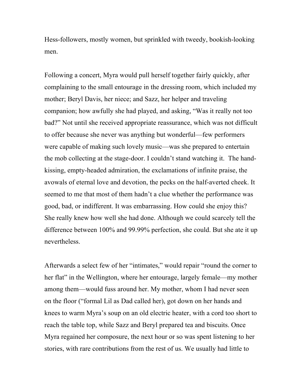Hess-followers, mostly women, but sprinkled with tweedy, bookish-looking men.

Following a concert, Myra would pull herself together fairly quickly, after complaining to the small entourage in the dressing room, which included my mother; Beryl Davis, her niece; and Sazz, her helper and traveling companion; how awfully she had played, and asking, "Was it really not too bad?" Not until she received appropriate reassurance, which was not difficult to offer because she never was anything but wonderful—few performers were capable of making such lovely music—was she prepared to entertain the mob collecting at the stage-door. I couldn't stand watching it. The handkissing, empty-headed admiration, the exclamations of infinite praise, the avowals of eternal love and devotion, the pecks on the half-averted cheek. It seemed to me that most of them hadn't a clue whether the performance was good, bad, or indifferent. It was embarrassing. How could she enjoy this? She really knew how well she had done. Although we could scarcely tell the difference between 100% and 99.99% perfection, she could. But she ate it up nevertheless.

Afterwards a select few of her "intimates," would repair "round the corner to her flat" in the Wellington, where her entourage, largely female—my mother among them—would fuss around her. My mother, whom I had never seen on the floor ("formal Lil as Dad called her), got down on her hands and knees to warm Myra's soup on an old electric heater, with a cord too short to reach the table top, while Sazz and Beryl prepared tea and biscuits. Once Myra regained her composure, the next hour or so was spent listening to her stories, with rare contributions from the rest of us. We usually had little to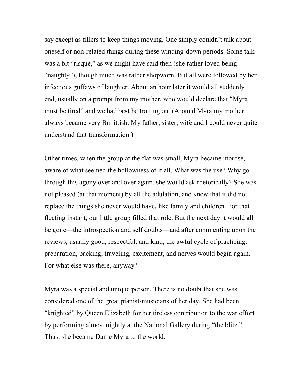say except as fillers to keep things moving. One simply couldn't talk about oneself or non-related things during these winding-down periods. Some talk was a bit "risqué," as we might have said then (she rather loved being "naughty"), though much was rather shopworn. But all were followed by her infectious guffaws of laughter. About an hour later it would all suddenly end, usually on a prompt from my mother, who would declare that "Myra must be tired" and we had best be trotting on. (Around Myra my mother always became very Brrrittish. My father, sister, wife and I could never quite understand that transformation.)

Other times, when the group at the flat was small, Myra became morose, aware of what seemed the hollowness of it all. What was the use? Why go through this agony over and over again, she would ask rhetorically? She was not pleased (at that moment) by all the adulation, and knew that it did not replace the things she never would have, like family and children. For that fleeting instant, our little group filled that role. But the next day it would all be gone—the introspection and self doubts—and after commenting upon the reviews, usually good, respectful, and kind, the awful cycle of practicing, preparation, packing, traveling, excitement, and nerves would begin again. For what else was there, anyway?

Myra was a special and unique person. There is no doubt that she was considered one of the great pianist-musicians of her day. She had been "knighted" by Queen Elizabeth for her tireless contribution to the war effort by performing almost nightly at the National Gallery during "the blitz." Thus, she became Dame Myra to the world.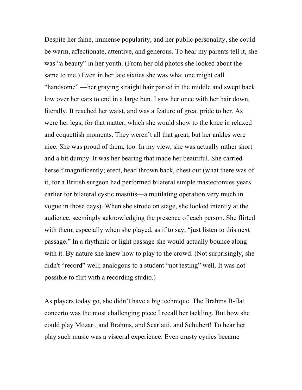Despite her fame, immense popularity, and her public personality, she could be warm, affectionate, attentive, and generous. To hear my parents tell it, she was "a beauty" in her youth. (From her old photos she looked about the same to me.) Even in her late sixties she was what one might call "handsome" —her graying straight hair parted in the middle and swept back low over her ears to end in a large bun. I saw her once with her hair down, literally. It reached her waist, and was a feature of great pride to her. As were her legs, for that matter, which she would show to the knee in relaxed and coquettish moments. They weren't all that great, but her ankles were nice. She was proud of them, too. In my view, she was actually rather short and a bit dumpy. It was her bearing that made her beautiful. She carried herself magnificently; erect, head thrown back, chest out (what there was of it, for a British surgeon had performed bilateral simple mastectomies years earlier for bilateral cystic mastitis—a mutilating operation very much in vogue in those days). When she strode on stage, she looked intently at the audience, seemingly acknowledging the presence of each person. She flirted with them, especially when she played, as if to say, "just listen to this next passage." In a rhythmic or light passage she would actually bounce along with it. By nature she knew how to play to the crowd. (Not surprisingly, she didn't "record" well; analogous to a student "not testing" well. It was not possible to flirt with a recording studio.)

As players today go, she didn't have a big technique. The Brahms B-flat concerto was the most challenging piece I recall her tackling. But how she could play Mozart, and Brahms, and Scarlatti, and Schubert! To hear her play such music was a visceral experience. Even crusty cynics became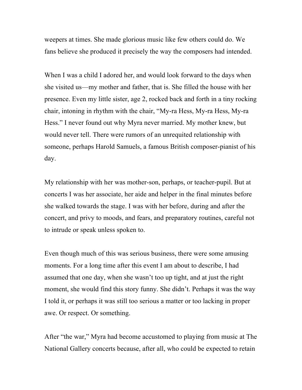weepers at times. She made glorious music like few others could do. We fans believe she produced it precisely the way the composers had intended.

When I was a child I adored her, and would look forward to the days when she visited us—my mother and father, that is. She filled the house with her presence. Even my little sister, age 2, rocked back and forth in a tiny rocking chair, intoning in rhythm with the chair, "My-ra Hess, My-ra Hess, My-ra Hess." I never found out why Myra never married. My mother knew, but would never tell. There were rumors of an unrequited relationship with someone, perhaps Harold Samuels, a famous British composer-pianist of his day.

My relationship with her was mother-son, perhaps, or teacher-pupil. But at concerts I was her associate, her aide and helper in the final minutes before she walked towards the stage. I was with her before, during and after the concert, and privy to moods, and fears, and preparatory routines, careful not to intrude or speak unless spoken to.

Even though much of this was serious business, there were some amusing moments. For a long time after this event I am about to describe, I had assumed that one day, when she wasn't too up tight, and at just the right moment, she would find this story funny. She didn't. Perhaps it was the way I told it, or perhaps it was still too serious a matter or too lacking in proper awe. Or respect. Or something.

After "the war," Myra had become accustomed to playing from music at The National Gallery concerts because, after all, who could be expected to retain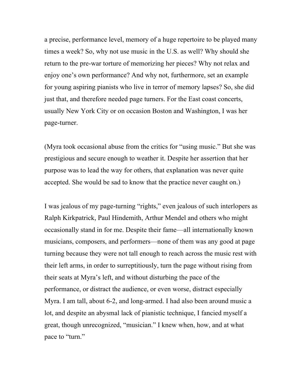a precise, performance level, memory of a huge repertoire to be played many times a week? So, why not use music in the U.S. as well? Why should she return to the pre-war torture of memorizing her pieces? Why not relax and enjoy one's own performance? And why not, furthermore, set an example for young aspiring pianists who live in terror of memory lapses? So, she did just that, and therefore needed page turners. For the East coast concerts, usually New York City or on occasion Boston and Washington, I was her page-turner.

(Myra took occasional abuse from the critics for "using music." But she was prestigious and secure enough to weather it. Despite her assertion that her purpose was to lead the way for others, that explanation was never quite accepted. She would be sad to know that the practice never caught on.)

I was jealous of my page-turning "rights," even jealous of such interlopers as Ralph Kirkpatrick, Paul Hindemith, Arthur Mendel and others who might occasionally stand in for me. Despite their fame—all internationally known musicians, composers, and performers—none of them was any good at page turning because they were not tall enough to reach across the music rest with their left arms, in order to surreptitiously, turn the page without rising from their seats at Myra's left, and without disturbing the pace of the performance, or distract the audience, or even worse, distract especially Myra. I am tall, about 6-2, and long-armed. I had also been around music a lot, and despite an abysmal lack of pianistic technique, I fancied myself a great, though unrecognized, "musician." I knew when, how, and at what pace to "turn."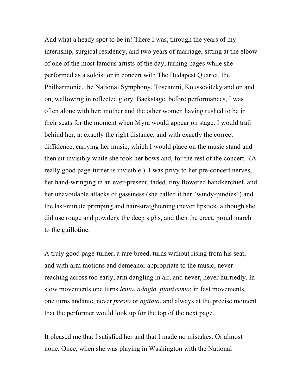And what a heady spot to be in! There I was, through the years of my internship, surgical residency, and two years of marriage, sitting at the elbow of one of the most famous artists of the day, turning pages while she performed as a soloist or in concert with The Budapest Quartet, the Philharmonic, the National Symphony, Toscanini, Koussevitzky and on and on, wallowing in reflected glory. Backstage, before performances, I was often alone with her; mother and the other women having rushed to be in their seats for the moment when Myra would appear on stage. I would trail behind her, at exactly the right distance, and with exactly the correct diffidence, carrying her music, which I would place on the music stand and then sit invisibly while she took her bows and, for the rest of the concert. (A really good page-turner is invisible.) I was privy to her pre-concert nerves, her hand-wringing in an ever-present, faded, tiny flowered handkerchief, and her unavoidable attacks of gassiness (she called it her "windy-pindies") and the last-minute primping and hair-straightening (never lipstick, although she did use rouge and powder), the deep sighs, and then the erect, proud march to the guillotine.

A truly good page-turner, a rare breed, turns without rising from his seat, and with arm motions and demeanor appropriate to the music, never reaching across too early, arm dangling in air, and never, never hurriedly. In slow movements one turns *lento*, *adagio, pianissimo*; in fast movements, one turns andante, never *presto* or *agitato*, and always at the precise moment that the performer would look up for the top of the next page.

It pleased me that I satisfied her and that I made no mistakes. Or almost none. Once, when she was playing in Washington with the National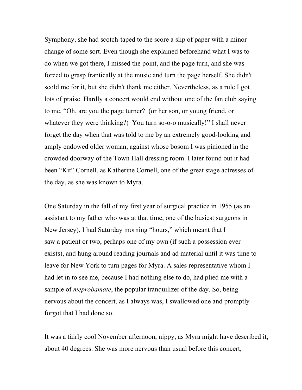Symphony, she had scotch-taped to the score a slip of paper with a minor change of some sort. Even though she explained beforehand what I was to do when we got there, I missed the point, and the page turn, and she was forced to grasp frantically at the music and turn the page herself. She didn't scold me for it, but she didn't thank me either. Nevertheless, as a rule I got lots of praise. Hardly a concert would end without one of the fan club saying to me, "Oh, are you the page turner? (or her son, or young friend, or whatever they were thinking?) You turn so-o-o musically!" I shall never forget the day when that was told to me by an extremely good-looking and amply endowed older woman, against whose bosom I was pinioned in the crowded doorway of the Town Hall dressing room. I later found out it had been "Kit" Cornell, as Katherine Cornell, one of the great stage actresses of the day, as she was known to Myra.

One Saturday in the fall of my first year of surgical practice in 1955 (as an assistant to my father who was at that time, one of the busiest surgeons in New Jersey), I had Saturday morning "hours," which meant that I saw a patient or two, perhaps one of my own (if such a possession ever exists), and hung around reading journals and ad material until it was time to leave for New York to turn pages for Myra. A sales representative whom I had let in to see me, because I had nothing else to do, had plied me with a sample of *meprobamate*, the popular tranquilizer of the day. So, being nervous about the concert, as I always was, I swallowed one and promptly forgot that I had done so.

It was a fairly cool November afternoon, nippy, as Myra might have described it, about 40 degrees. She was more nervous than usual before this concert,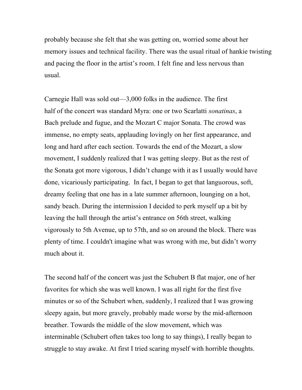probably because she felt that she was getting on, worried some about her memory issues and technical facility. There was the usual ritual of hankie twisting and pacing the floor in the artist's room. I felt fine and less nervous than usual.

Carnegie Hall was sold out—3,000 folks in the audience. The first half of the concert was standard Myra: one or two Scarlatti *sonatinas*, a Bach prelude and fugue, and the Mozart C major Sonata. The crowd was immense, no empty seats, applauding lovingly on her first appearance, and long and hard after each section. Towards the end of the Mozart, a slow movement, I suddenly realized that I was getting sleepy. But as the rest of the Sonata got more vigorous, I didn't change with it as I usually would have done, vicariously participating. In fact, I began to get that languorous, soft, dreamy feeling that one has in a late summer afternoon, lounging on a hot, sandy beach. During the intermission I decided to perk myself up a bit by leaving the hall through the artist's entrance on 56th street, walking vigorously to 5th Avenue, up to 57th, and so on around the block. There was plenty of time. I couldn't imagine what was wrong with me, but didn't worry much about it.

The second half of the concert was just the Schubert B flat major, one of her favorites for which she was well known. I was all right for the first five minutes or so of the Schubert when, suddenly, I realized that I was growing sleepy again, but more gravely, probably made worse by the mid-afternoon breather. Towards the middle of the slow movement, which was interminable (Schubert often takes too long to say things), I really began to struggle to stay awake. At first I tried scaring myself with horrible thoughts.